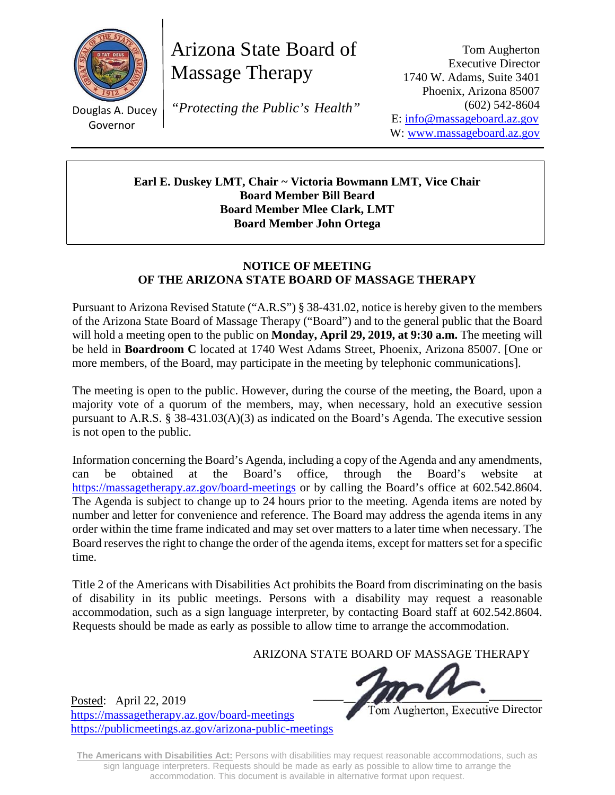

Governor

Arizona State Board of Massage Therapy

 $\frac{1}{\sqrt{2}}$ Douglas A. Ducey *"Protecting the Public's Health"*

Tom Augherton Executive Director 1740 W. Adams, Suite 3401 Phoenix, Arizona 85007 (602) 542-8604 E: info@massageboard.az.gov W: www.massageboard.az.gov

**Earl E. Duskey LMT, Chair ~ Victoria Bowmann LMT, Vice Chair Board Member Bill Beard Board Member Mlee Clark, LMT Board Member John Ortega** 

## **NOTICE OF MEETING OF THE ARIZONA STATE BOARD OF MASSAGE THERAPY**

Pursuant to Arizona Revised Statute ("A.R.S") § 38-431.02, notice is hereby given to the members of the Arizona State Board of Massage Therapy ("Board") and to the general public that the Board will hold a meeting open to the public on **Monday, April 29, 2019, at 9:30 a.m.** The meeting will be held in **Boardroom C** located at 1740 West Adams Street, Phoenix, Arizona 85007. [One or more members, of the Board, may participate in the meeting by telephonic communications].

The meeting is open to the public. However, during the course of the meeting, the Board, upon a majority vote of a quorum of the members, may, when necessary, hold an executive session pursuant to A.R.S. § 38-431.03(A)(3) as indicated on the Board's Agenda. The executive session is not open to the public.

Information concerning the Board's Agenda, including a copy of the Agenda and any amendments, can be obtained at the Board's office, through the Board's website at https://massagetherapy.az.gov/board-meetings or by calling the Board's office at 602.542.8604. The Agenda is subject to change up to 24 hours prior to the meeting. Agenda items are noted by number and letter for convenience and reference. The Board may address the agenda items in any order within the time frame indicated and may set over matters to a later time when necessary. The Board reserves the right to change the order of the agenda items, except for matters set for a specific time.

Title 2 of the Americans with Disabilities Act prohibits the Board from discriminating on the basis of disability in its public meetings. Persons with a disability may request a reasonable accommodation, such as a sign language interpreter, by contacting Board staff at 602.542.8604. Requests should be made as early as possible to allow time to arrange the accommodation.

ARIZONA STATE BOARD OF MASSAGE THERAPY

 $\frac{122,2010}{2000}$ 

Tom Augherton, Executive Director

Posted: April 22, 2019 https://massagetherapy.az.gov/board-meetings https://publicmeetings.az.gov/arizona-public-meetings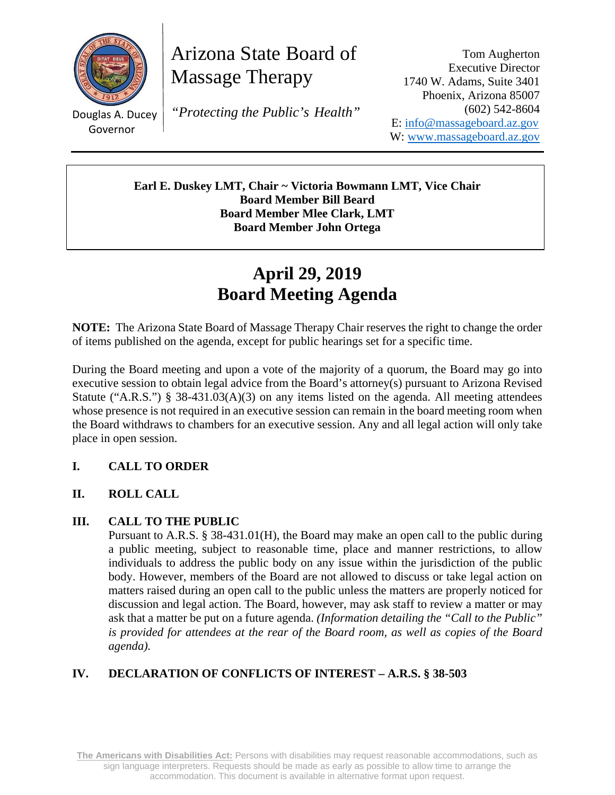

Arizona State Board of Massage Therapy

Governor

 $\frac{1}{\sqrt{2}}$ Douglas A. Ducey *"Protecting the Public's Health"*

Tom Augherton Executive Director 1740 W. Adams, Suite 3401 Phoenix, Arizona 85007 (602) 542-8604 E: info@massageboard.az.gov W: www.massageboard.az.gov

**Earl E. Duskey LMT, Chair ~ Victoria Bowmann LMT, Vice Chair Board Member Bill Beard Board Member Mlee Clark, LMT Board Member John Ortega** 

# **April 29, 2019 Board Meeting Agenda**

**NOTE:** The Arizona State Board of Massage Therapy Chair reserves the right to change the order of items published on the agenda, except for public hearings set for a specific time.

During the Board meeting and upon a vote of the majority of a quorum, the Board may go into executive session to obtain legal advice from the Board's attorney(s) pursuant to Arizona Revised Statute ("A.R.S.") § 38-431.03(A)(3) on any items listed on the agenda. All meeting attendees whose presence is not required in an executive session can remain in the board meeting room when the Board withdraws to chambers for an executive session. Any and all legal action will only take place in open session.

# **I. CALL TO ORDER**

## **II. ROLL CALL**

## **III. CALL TO THE PUBLIC**

Pursuant to A.R.S. § 38-431.01(H), the Board may make an open call to the public during a public meeting, subject to reasonable time, place and manner restrictions, to allow individuals to address the public body on any issue within the jurisdiction of the public body. However, members of the Board are not allowed to discuss or take legal action on matters raised during an open call to the public unless the matters are properly noticed for discussion and legal action. The Board, however, may ask staff to review a matter or may ask that a matter be put on a future agenda. *(Information detailing the "Call to the Public" is provided for attendees at the rear of the Board room, as well as copies of the Board agenda).* 

# **IV. DECLARATION OF CONFLICTS OF INTEREST – A.R.S. § 38-503**

**The Americans with Disabilities Act:** Persons with disabilities may request reasonable accommodations, such as sign language interpreters. Requests should be made as early as possible to allow time to arrange the accommodation. This document is available in alternative format upon request.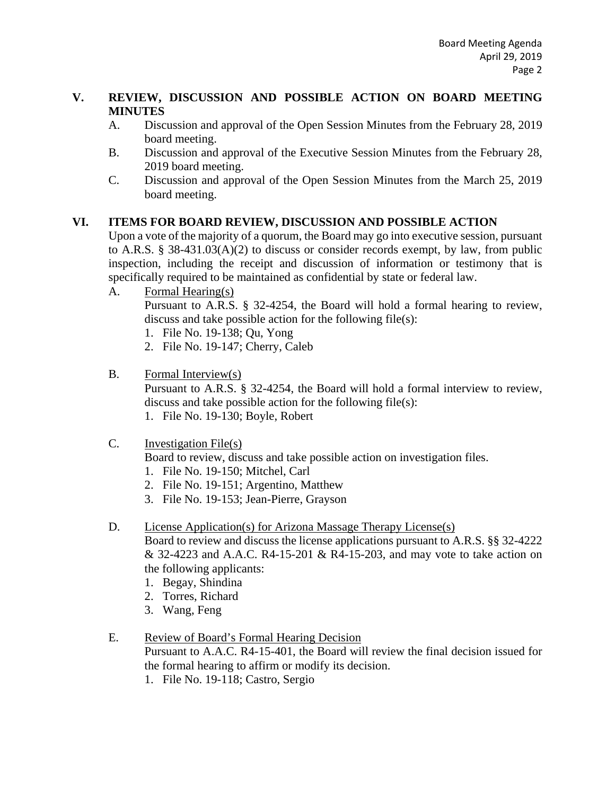#### **V. REVIEW, DISCUSSION AND POSSIBLE ACTION ON BOARD MEETING MINUTES**

- A. Discussion and approval of the Open Session Minutes from the February 28, 2019 board meeting.
- B. Discussion and approval of the Executive Session Minutes from the February 28, 2019 board meeting.
- C. Discussion and approval of the Open Session Minutes from the March 25, 2019 board meeting.

## **VI. ITEMS FOR BOARD REVIEW, DISCUSSION AND POSSIBLE ACTION**

Upon a vote of the majority of a quorum, the Board may go into executive session, pursuant to A.R.S. § 38-431.03(A)(2) to discuss or consider records exempt, by law, from public inspection, including the receipt and discussion of information or testimony that is specifically required to be maintained as confidential by state or federal law.

A. Formal Hearing(s)

Pursuant to A.R.S. § 32-4254, the Board will hold a formal hearing to review, discuss and take possible action for the following file(s):

- 1. File No. 19-138; Qu, Yong
- 2. File No. 19-147; Cherry, Caleb
- B. Formal Interview(s)

Pursuant to A.R.S. § 32-4254, the Board will hold a formal interview to review, discuss and take possible action for the following file(s):

- 1. File No. 19-130; Boyle, Robert
- C. Investigation File(s)

Board to review, discuss and take possible action on investigation files.

- 1. File No. 19-150; Mitchel, Carl
- 2. File No. 19-151; Argentino, Matthew
- 3. File No. 19-153; Jean-Pierre, Grayson
- D. License Application(s) for Arizona Massage Therapy License(s)

Board to review and discuss the license applications pursuant to A.R.S. §§ 32-4222 & 32-4223 and A.A.C. R4-15-201 & R4-15-203, and may vote to take action on the following applicants:

- 1. Begay, Shindina
- 2. Torres, Richard
- 3. Wang, Feng

## E. Review of Board's Formal Hearing Decision

Pursuant to A.A.C. R4-15-401, the Board will review the final decision issued for the formal hearing to affirm or modify its decision.

1. File No. 19-118; Castro, Sergio